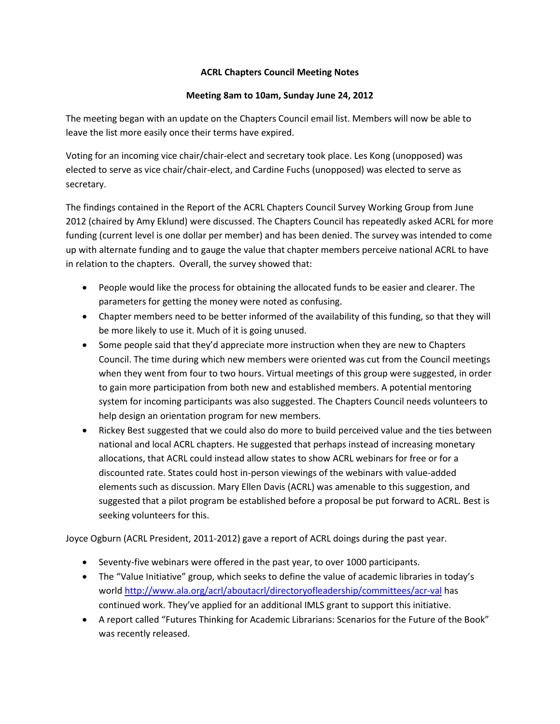## **ACRL Chapters Council Meeting Notes**

## **Meeting 8am to 10am, Sunday June 24, 2012**

The meeting began with an update on the Chapters Council email list. Members will now be able to leave the list more easily once their terms have expired.

Voting for an incoming vice chair/chair-elect and secretary took place. Les Kong (unopposed) was elected to serve as vice chair/chair-elect, and Cardine Fuchs (unopposed) was elected to serve as secretary.

The findings contained in the Report of the ACRL Chapters Council Survey Working Group from June 2012 (chaired by Amy Eklund) were discussed. The Chapters Council has repeatedly asked ACRL for more funding (current level is one dollar per member) and has been denied. The survey was intended to come up with alternate funding and to gauge the value that chapter members perceive national ACRL to have in relation to the chapters. Overall, the survey showed that:

- People would like the process for obtaining the allocated funds to be easier and clearer. The parameters for getting the money were noted as confusing.
- Chapter members need to be better informed of the availability of this funding, so that they will be more likely to use it. Much of it is going unused.
- Some people said that they'd appreciate more instruction when they are new to Chapters Council. The time during which new members were oriented was cut from the Council meetings when they went from four to two hours. Virtual meetings of this group were suggested, in order to gain more participation from both new and established members. A potential mentoring system for incoming participants was also suggested. The Chapters Council needs volunteers to help design an orientation program for new members.
- Rickey Best suggested that we could also do more to build perceived value and the ties between national and local ACRL chapters. He suggested that perhaps instead of increasing monetary allocations, that ACRL could instead allow states to show ACRL webinars for free or for a discounted rate. States could host in-person viewings of the webinars with value-added elements such as discussion. Mary Ellen Davis (ACRL) was amenable to this suggestion, and suggested that a pilot program be established before a proposal be put forward to ACRL. Best is seeking volunteers for this.

Joyce Ogburn (ACRL President, 2011-2012) gave a report of ACRL doings during the past year.

- Seventy-five webinars were offered in the past year, to over 1000 participants.
- The "Value Initiative" group, which seeks to define the value of academic libraries in today's world<http://www.ala.org/acrl/aboutacrl/directoryofleadership/committees/acr-val> has continued work. They've applied for an additional IMLS grant to support this initiative.
- A report called "Futures Thinking for Academic Librarians: Scenarios for the Future of the Book" was recently released.